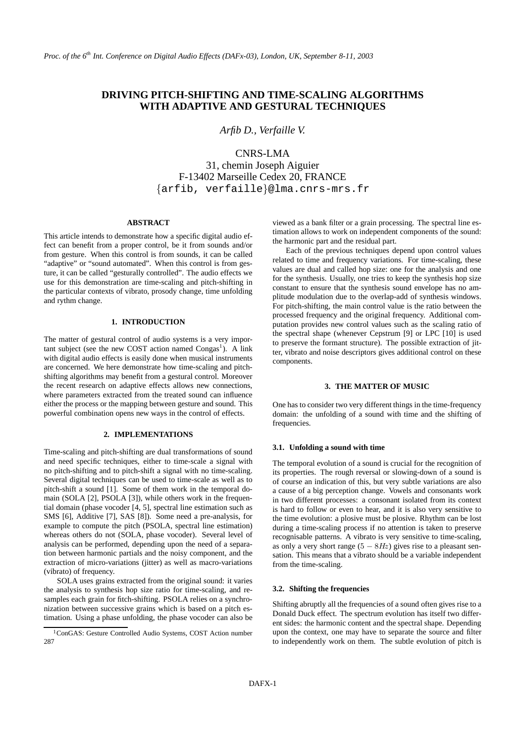# **DRIVING PITCH-SHIFTING AND TIME-SCALING ALGORITHMS WITH ADAPTIVE AND GESTURAL TECHNIQUES**

*Arfib D., Verfaille V.*

CNRS-LMA

31, chemin Joseph Aiguier F-13402 Marseille Cedex 20, FRANCE {arfib, verfaille}@lma.cnrs-mrs.fr

### **ABSTRACT**

This article intends to demonstrate how a specific digital audio effect can benefit from a proper control, be it from sounds and/or from gesture. When this control is from sounds, it can be called "adaptive" or "sound automated". When this control is from gesture, it can be called "gesturally controlled". The audio effects we use for this demonstration are time-scaling and pitch-shifting in the particular contexts of vibrato, prosody change, time unfolding and rythm change.

#### **1. INTRODUCTION**

The matter of gestural control of audio systems is a very important subject (see the new COST action named  $\text{Congas}^1$ ). A link with digital audio effects is easily done when musical instruments are concerned. We here demonstrate how time-scaling and pitchshifting algorithms may benefit from a gestural control. Moreover the recent research on adaptive effects allows new connections, where parameters extracted from the treated sound can influence either the process or the mapping between gesture and sound. This powerful combination opens new ways in the control of effects.

# **2. IMPLEMENTATIONS**

Time-scaling and pitch-shifting are dual transformations of sound and need specific techniques, either to time-scale a signal with no pitch-shifting and to pitch-shift a signal with no time-scaling. Several digital techniques can be used to time-scale as well as to pitch-shift a sound [1]. Some of them work in the temporal domain (SOLA [2], PSOLA [3]), while others work in the frequential domain (phase vocoder [4, 5], spectral line estimation such as SMS [6], Additive [7], SAS [8]). Some need a pre-analysis, for example to compute the pitch (PSOLA, spectral line estimation) whereas others do not (SOLA, phase vocoder). Several level of analysis can be performed, depending upon the need of a separation between harmonic partials and the noisy component, and the extraction of micro-variations (jitter) as well as macro-variations (vibrato) of frequency.

SOLA uses grains extracted from the original sound: it varies the analysis to synthesis hop size ratio for time-scaling, and resamples each grain for fitch-shifting. PSOLA relies on a synchronization between successive grains which is based on a pitch estimation. Using a phase unfolding, the phase vocoder can also be

viewed as a bank filter or a grain processing. The spectral line estimation allows to work on independent components of the sound: the harmonic part and the residual part.

Each of the previous techniques depend upon control values related to time and frequency variations. For time-scaling, these values are dual and called hop size: one for the analysis and one for the synthesis. Usually, one tries to keep the synthesis hop size constant to ensure that the synthesis sound envelope has no amplitude modulation due to the overlap-add of synthesis windows. For pitch-shifting, the main control value is the ratio between the processed frequency and the original frequency. Additional computation provides new control values such as the scaling ratio of the spectral shape (whenever Cepstrum [9] or LPC [10] is used to preserve the formant structure). The possible extraction of jitter, vibrato and noise descriptors gives additional control on these components.

# **3. THE MATTER OF MUSIC**

One has to consider two very different things in the time-frequency domain: the unfolding of a sound with time and the shifting of frequencies.

#### **3.1. Unfolding a sound with time**

The temporal evolution of a sound is crucial for the recognition of its properties. The rough reversal or slowing-down of a sound is of course an indication of this, but very subtle variations are also a cause of a big perception change. Vowels and consonants work in two different processes: a consonant isolated from its context is hard to follow or even to hear, and it is also very sensitive to the time evolution: a plosive must be plosive. Rhythm can be lost during a time-scaling process if no attention is taken to preserve recognisable patterns. A vibrato is very sensitive to time-scaling, as only a very short range  $(5 - 8Hz)$  gives rise to a pleasant sensation. This means that a vibrato should be a variable independent from the time-scaling.

### **3.2. Shifting the frequencies**

Shifting abruptly all the frequencies of a sound often gives rise to a Donald Duck effect. The spectrum evolution has itself two different sides: the harmonic content and the spectral shape. Depending upon the context, one may have to separate the source and filter to independently work on them. The subtle evolution of pitch is

<sup>&</sup>lt;sup>1</sup>ConGAS: Gesture Controlled Audio Systems, COST Action number 287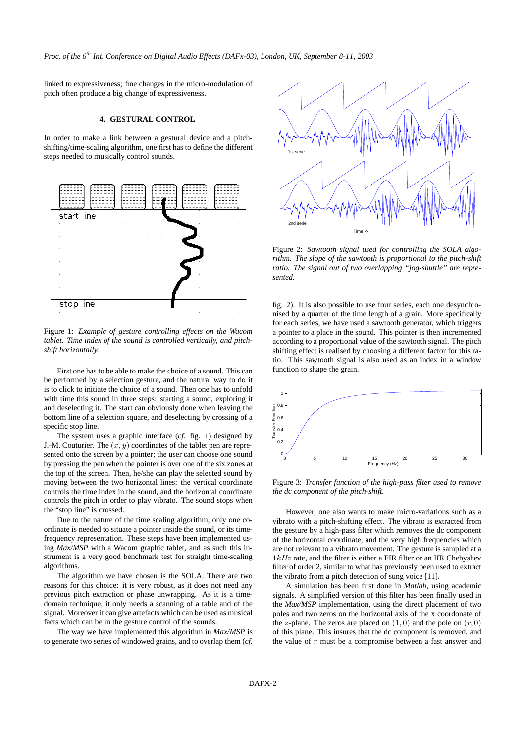linked to expressiveness; fine changes in the micro-modulation of pitch often produce a big change of expressiveness.

## **4. GESTURAL CONTROL**

In order to make a link between a gestural device and a pitchshifting/time-scaling algorithm, one first has to define the different steps needed to musically control sounds.



Figure 1: *Example of gesture controlling effects on the Wacom tablet. Time index of the sound is controlled vertically, and pitchshift horizontally.*

First one has to be able to make the choice of a sound. This can be performed by a selection gesture, and the natural way to do it is to click to initiate the choice of a sound. Then one has to unfold with time this sound in three steps: starting a sound, exploring it and deselecting it. The start can obviously done when leaving the bottom line of a selection square, and deselecting by crossing of a specific stop line.

The system uses a graphic interface (*cf.* fig. 1) designed by J.-M. Couturier. The  $(x, y)$  coordinates of the tablet pen are represented onto the screen by a pointer; the user can choose one sound by pressing the pen when the pointer is over one of the six zones at the top of the screen. Then, he/she can play the selected sound by moving between the two horizontal lines: the vertical coordinate controls the time index in the sound, and the horizontal coordinate controls the pitch in order to play vibrato. The sound stops when the "stop line" is crossed.

Due to the nature of the time scaling algorithm, only one coordinate is needed to situate a pointer inside the sound, or its timefrequency representation. These steps have been implemented using *Max/MSP* with a Wacom graphic tablet, and as such this instrument is a very good benchmark test for straight time-scaling algorithms.

The algorithm we have chosen is the SOLA. There are two reasons for this choice: it is very robust, as it does not need any previous pitch extraction or phase unwrapping. As it is a timedomain technique, it only needs a scanning of a table and of the signal. Moreover it can give artefacts which can be used as musical facts which can be in the gesture control of the sounds.

The way we have implemented this algorithm in *Max/MSP* is to generate two series of windowed grains, and to overlap them (*cf.*



Figure 2: *Sawtooth signal used for controlling the SOLA algorithm. The slope of the sawtooth is proportional to the pitch-shift ratio. The signal out of two overlapping "jog-shuttle" are represented.*

fig. 2). It is also possible to use four series, each one desynchronised by a quarter of the time length of a grain. More specifically for each series, we have used a sawtooth generator, which triggers a pointer to a place in the sound. This pointer is then incremented according to a proportional value of the sawtooth signal. The pitch shifting effect is realised by choosing a different factor for this ratio. This sawtooth signal is also used as an index in a window function to shape the grain.



Figure 3: *Transfer function of the high-pass filter used to remove the dc component of the pitch-shift.*

However, one also wants to make micro-variations such as a vibrato with a pitch-shifting effect. The vibrato is extracted from the gesture by a high-pass filter which removes the dc component of the horizontal coordinate, and the very high frequencies which are not relevant to a vibrato movement. The gesture is sampled at a  $1kHz$  rate, and the filter is either a FIR filter or an IIR Chebyshev filter of order 2, similar to what has previously been used to extract the vibrato from a pitch detection of sung voice [11].

A simulation has been first done in *Matlab*, using academic signals. A simplified version of this filter has been finally used in the *Max/MSP* implementation, using the direct placement of two poles and two zeros on the horizontal axis of the x coordonate of the z-plane. The zeros are placed on  $(1, 0)$  and the pole on  $(r, 0)$ of this plane. This insures that the dc component is removed, and the value of  $r$  must be a compromise between a fast answer and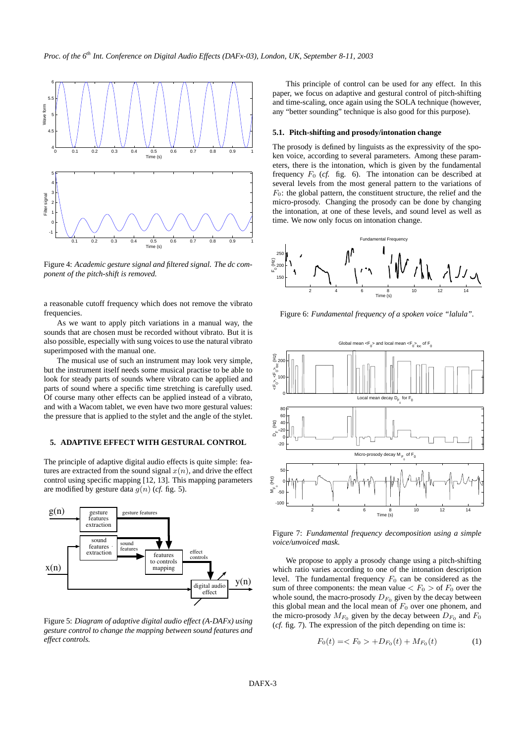

Figure 4: *Academic gesture signal and filtered signal. The dc component of the pitch-shift is removed.*

a reasonable cutoff frequency which does not remove the vibrato frequencies.

As we want to apply pitch variations in a manual way, the sounds that are chosen must be recorded without vibrato. But it is also possible, especially with sung voices to use the natural vibrato superimposed with the manual one.

The musical use of such an instrument may look very simple, but the instrument itself needs some musical practise to be able to look for steady parts of sounds where vibrato can be applied and parts of sound where a specific time stretching is carefully used. Of course many other effects can be applied instead of a vibrato, and with a Wacom tablet, we even have two more gestural values: the pressure that is applied to the stylet and the angle of the stylet.

# **5. ADAPTIVE EFFECT WITH GESTURAL CONTROL**

The principle of adaptive digital audio effects is quite simple: features are extracted from the sound signal  $x(n)$ , and drive the effect control using specific mapping [12, 13]. This mapping parameters are modified by gesture data  $g(n)$  (*cf.* fig. 5).



Figure 5: *Diagram of adaptive digital audio effect (A-DAFx) using gesture control to change the mapping between sound features and effect controls.*

This principle of control can be used for any effect. In this paper, we focus on adaptive and gestural control of pitch-shifting and time-scaling, once again using the SOLA technique (however, any "better sounding" technique is also good for this purpose).

# **5.1. Pitch-shifting and prosody/intonation change**

The prosody is defined by linguists as the expressivity of the spoken voice, according to several parameters. Among these parameters, there is the intonation, which is given by the fundamental frequency  $F_0$  (*cf.* fig. 6). The intonation can be described at several levels from the most general pattern to the variations of  $F_0$ : the global pattern, the constituent structure, the relief and the micro-prosody. Changing the prosody can be done by changing the intonation, at one of these levels, and sound level as well as time. We now only focus on intonation change.



Figure 6: *Fundamental frequency of a spoken voice "lalula".*



Figure 7: *Fundamental frequency decomposition using a simple voice/unvoiced mask.*

We propose to apply a prosody change using a pitch-shifting which ratio varies according to one of the intonation description level. The fundamental frequency  $F_0$  can be considered as the sum of three components: the mean value  $\langle F_0 \rangle$  of  $F_0$  over the whole sound, the macro-prosody  $D_{F_0}$  given by the decay between this global mean and the local mean of  $F_0$  over one phonem, and the micro-prosody  $M_{F_0}$  given by the decay between  $D_{F_0}$  and  $F_0$ (*cf.* fig. 7). The expression of the pitch depending on time is:

$$
F_0(t) = \langle F_0 \rangle + D_{F_0}(t) + M_{F_0}(t) \tag{1}
$$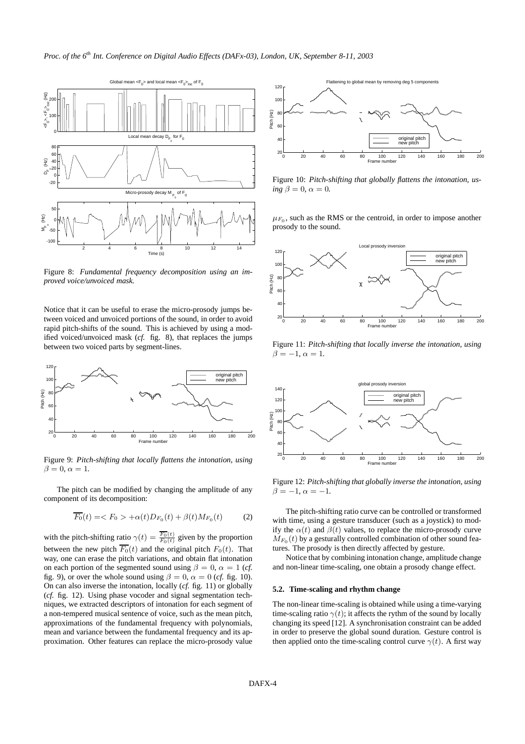

Figure 8: *Fundamental frequency decomposition using an improved voice/unvoiced mask.*

Notice that it can be useful to erase the micro-prosody jumps between voiced and unvoiced portions of the sound, in order to avoid rapid pitch-shifts of the sound. This is achieved by using a modified voiced/unvoiced mask (*cf.* fig. 8), that replaces the jumps between two voiced parts by segment-lines.



Figure 9: *Pitch-shifting that locally flattens the intonation, using*  $\beta = 0, \alpha = 1.$ 

The pitch can be modified by changing the amplitude of any component of its decomposition:

$$
\overline{F_0}(t) = \langle F_0 \rangle + \alpha(t) D_{F_0}(t) + \beta(t) M_{F_0}(t) \tag{2}
$$

with the pitch-shifting ratio  $\gamma(t) = \frac{F_0(t)}{F_0(t)}$  given by the proportion between the new pitch  $\overline{F_0}(t)$  and the original pitch  $F_0(t)$ . That way, one can erase the pitch variations, and obtain flat intonation on each portion of the segmented sound using  $\beta = 0$ ,  $\alpha = 1$  (*cf.*) fig. 9), or over the whole sound using  $\beta = 0$ ,  $\alpha = 0$  (*cf.* fig. 10). On can also inverse the intonation, locally (*cf.* fig. 11) or globally (*cf.* fig. 12). Using phase vocoder and signal segmentation techniques, we extracted descriptors of intonation for each segment of a non-tempered musical sentence of voice, such as the mean pitch, approximations of the fundamental frequency with polynomials, mean and variance between the fundamental frequency and its approximation. Other features can replace the micro-prosody value



Figure 10: *Pitch-shifting that globally flattens the intonation, us-* $\lim_{\alpha \to 0} \beta = 0, \alpha = 0.$ 

 $\mu_{F_0}$ , such as the RMS or the centroid, in order to impose another prosody to the sound.



Figure 11: *Pitch-shifting that locally inverse the intonation, using*  $\beta = -1, \alpha = 1.$ 



Figure 12: *Pitch-shifting that globally inverse the intonation, using*  $\beta = -1, \alpha = -1.$ 

The pitch-shifting ratio curve can be controlled or transformed with time, using a gesture transducer (such as a joystick) to modify the  $\alpha(t)$  and  $\beta(t)$  values, to replace the micro-prosody curve  $M_{F_0}(t)$  by a gesturally controlled combination of other sound features. The prosody is then directly affected by gesture.

Notice that by combining intonation change, amplitude change and non-linear time-scaling, one obtain a prosody change effect.

### **5.2. Time-scaling and rhythm change**

The non-linear time-scaling is obtained while using a time-varying time-scaling ratio  $\gamma(t)$ ; it affects the rythm of the sound by locally changing its speed [12]. A synchronisation constraint can be added in order to preserve the global sound duration. Gesture control is then applied onto the time-scaling control curve  $\gamma(t)$ . A first way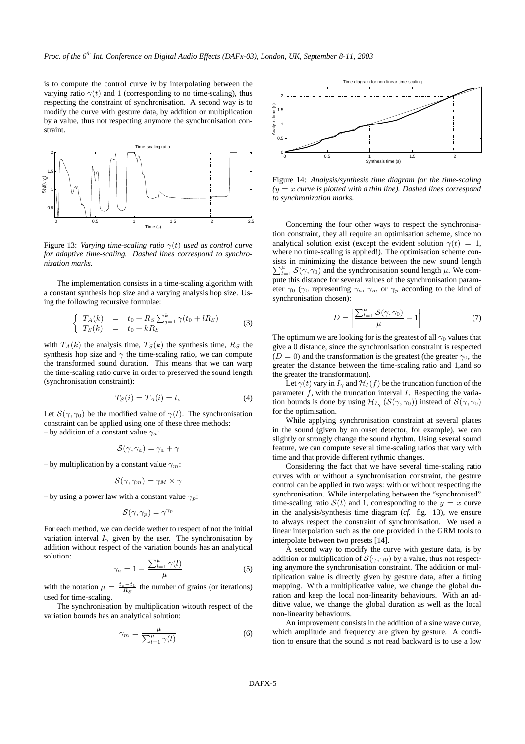is to compute the control curve iv by interpolating between the varying ratio  $\gamma(t)$  and 1 (corresponding to no time-scaling), thus respecting the constraint of synchronisation. A second way is to modify the curve with gesture data, by addition or multiplication by a value, thus not respecting anymore the synchronisation constraint.



Figure 13: *Varying time-scaling ratio*  $\gamma(t)$  *used as control curve for adaptive time-scaling. Dashed lines correspond to synchronization marks.*

The implementation consists in a time-scaling algorithm with a constant synthesis hop size and a varying analysis hop size. Using the following recursive formulae:

$$
\begin{cases}\nT_A(k) = t_0 + R_S \sum_{j=1}^k \gamma(t_0 + lR_S) \\
T_S(k) = t_0 + kR_S\n\end{cases}
$$
\n(3)

with  $T_A(k)$  the analysis time,  $T_S(k)$  the synthesis time,  $R_S$  the synthesis hop size and  $\gamma$  the time-scaling ratio, we can compute the transformed sound duration. This means that we can warp the time-scaling ratio curve in order to preserved the sound length (synchronisation constraint):

$$
T_S(i) = T_A(i) = t_s \tag{4}
$$

Let  $S(\gamma, \gamma_0)$  be the modified value of  $\gamma(t)$ . The synchronisation constraint can be applied using one of these three methods: – by addition of a constant value  $\gamma_a$ :

$$
\mathcal{S}(\gamma,\gamma_a)=\gamma_a+\gamma
$$

– by multiplication by a constant value  $\gamma_m$ :

$$
\mathcal{S}(\gamma,\gamma_m)=\gamma_M\times\gamma
$$

– by using a power law with a constant value  $\gamma_p$ :

$$
\mathcal{S}(\gamma,\gamma_p)=\gamma^{\gamma_p}
$$

For each method, we can decide wether to respect of not the initial variation interval  $I_{\gamma}$  given by the user. The synchronisation by addition without respect of the variation bounds has an analytical solution:

$$
\gamma_a = 1 - \frac{\sum_{l=1}^{\mu} \gamma(l)}{\mu} \tag{5}
$$

with the notation  $\mu = \frac{t_s - t_0}{R_S}$  the number of grains (or iterations) used for time-scaling.

The synchronisation by multiplication witouth respect of the variation bounds has an analytical solution:

$$
\gamma_m = \frac{\mu}{\sum_{l=1}^{\mu} \gamma(l)}\tag{6}
$$



Figure 14: *Analysis/synthesis time diagram for the time-scaling (*y = x *curve is plotted with a thin line). Dashed lines correspond to synchronization marks.*

Concerning the four other ways to respect the synchronisation constraint, they all require an optimisation scheme, since no analytical solution exist (except the evident solution  $\gamma(t) = 1$ , where no time-scaling is applied!). The optimisation scheme consists in minimizing the distance between the new sound length  $\sum_{l=1}^{\mu} S(\gamma, \gamma_0)$  and the synchronisation sound length  $\mu$ . We compute this distance for several values of the synchronisation parameter  $\gamma_0$  ( $\gamma_0$  representing  $\gamma_a$ ,  $\gamma_m$  or  $\gamma_p$  according to the kind of synchronisation chosen):

$$
D = \left| \frac{\sum_{l=1}^{\mu} S(\gamma, \gamma_0)}{\mu} - 1 \right| \tag{7}
$$

The optimum we are looking for is the greatest of all  $\gamma_0$  values that give a 0 distance, since the synchronisation constraint is respected  $(D = 0)$  and the transformation is the greatest (the greater  $\gamma_0$ , the greater the distance between the time-scaling ratio and 1,and so the greater the transformation).

Let  $\gamma(t)$  vary in  $I_{\gamma}$  and  $\mathcal{H}_I(f)$  be the truncation function of the parameter  $f$ , with the truncation interval  $I$ . Respecting the variation bounds is done by using  $\mathcal{H}_{I_{\gamma}}(\mathcal{S}(\gamma, \gamma_0))$  instead of  $\mathcal{S}(\gamma, \gamma_0)$ for the optimisation.

While applying synchronisation constraint at several places in the sound (given by an onset detector, for example), we can slightly or strongly change the sound rhythm. Using several sound feature, we can compute several time-scaling ratios that vary with time and that provide different rythmic changes.

Considering the fact that we have several time-scaling ratio curves with or without a synchronisation constraint, the gesture control can be applied in two ways: with or without respecting the synchronisation. While interpolating between the "synchronised" time-scaling ratio  $S(t)$  and 1, corresponding to the  $y = x$  curve in the analysis/synthesis time diagram (*cf.* fig. 13), we ensure to always respect the constraint of synchronisation. We used a linear interpolation such as the one provided in the GRM tools to interpolate between two presets [14].

A second way to modify the curve with gesture data, is by addition or multiplication of  $\mathcal{S}(\gamma, \gamma_0)$  by a value, thus not respecting anymore the synchronisation constraint. The addition or multiplication value is directly given by gesture data, after a fitting mapping. With a multiplicative value, we change the global duration and keep the local non-linearity behaviours. With an additive value, we change the global duration as well as the local non-linearity behaviours.

An improvement consists in the addition of a sine wave curve, which amplitude and frequency are given by gesture. A condition to ensure that the sound is not read backward is to use a low